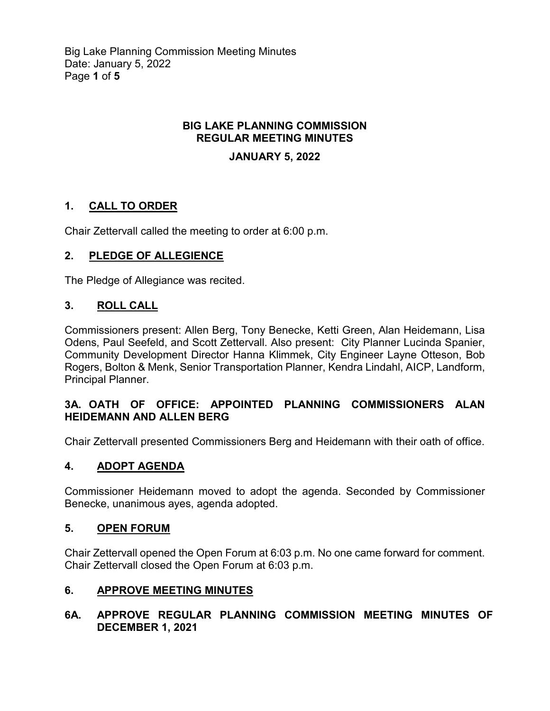Big Lake Planning Commission Meeting Minutes Date: January 5, 2022 Page **1** of **5**

## **BIG LAKE PLANNING COMMISSION REGULAR MEETING MINUTES**

## **JANUARY 5, 2022**

# **1. CALL TO ORDER**

Chair Zettervall called the meeting to order at 6:00 p.m.

# **2. PLEDGE OF ALLEGIENCE**

The Pledge of Allegiance was recited.

## **3. ROLL CALL**

Commissioners present: Allen Berg, Tony Benecke, Ketti Green, Alan Heidemann, Lisa Odens, Paul Seefeld, and Scott Zettervall. Also present: City Planner Lucinda Spanier, Community Development Director Hanna Klimmek, City Engineer Layne Otteson, Bob Rogers, Bolton & Menk, Senior Transportation Planner, Kendra Lindahl, AICP, Landform, Principal Planner.

## **3A. OATH OF OFFICE: APPOINTED PLANNING COMMISSIONERS ALAN HEIDEMANN AND ALLEN BERG**

Chair Zettervall presented Commissioners Berg and Heidemann with their oath of office.

### **4. ADOPT AGENDA**

Commissioner Heidemann moved to adopt the agenda. Seconded by Commissioner Benecke, unanimous ayes, agenda adopted.

### **5. OPEN FORUM**

Chair Zettervall opened the Open Forum at 6:03 p.m. No one came forward for comment. Chair Zettervall closed the Open Forum at 6:03 p.m.

### **6. APPROVE MEETING MINUTES**

### **6A. APPROVE REGULAR PLANNING COMMISSION MEETING MINUTES OF DECEMBER 1, 2021**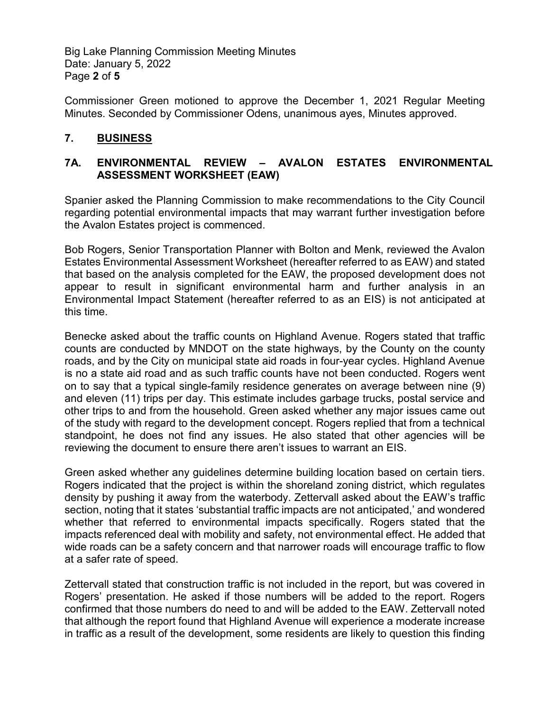Big Lake Planning Commission Meeting Minutes Date: January 5, 2022 Page **2** of **5**

Commissioner Green motioned to approve the December 1, 2021 Regular Meeting Minutes. Seconded by Commissioner Odens, unanimous ayes, Minutes approved.

## **7. BUSINESS**

### **7A. ENVIRONMENTAL REVIEW – AVALON ESTATES ENVIRONMENTAL ASSESSMENT WORKSHEET (EAW)**

Spanier asked the Planning Commission to make recommendations to the City Council regarding potential environmental impacts that may warrant further investigation before the Avalon Estates project is commenced.

Bob Rogers, Senior Transportation Planner with Bolton and Menk, reviewed the Avalon Estates Environmental Assessment Worksheet (hereafter referred to as EAW) and stated that based on the analysis completed for the EAW, the proposed development does not appear to result in significant environmental harm and further analysis in an Environmental Impact Statement (hereafter referred to as an EIS) is not anticipated at this time.

Benecke asked about the traffic counts on Highland Avenue. Rogers stated that traffic counts are conducted by MNDOT on the state highways, by the County on the county roads, and by the City on municipal state aid roads in four-year cycles. Highland Avenue is no a state aid road and as such traffic counts have not been conducted. Rogers went on to say that a typical single-family residence generates on average between nine (9) and eleven (11) trips per day. This estimate includes garbage trucks, postal service and other trips to and from the household. Green asked whether any major issues came out of the study with regard to the development concept. Rogers replied that from a technical standpoint, he does not find any issues. He also stated that other agencies will be reviewing the document to ensure there aren't issues to warrant an EIS.

Green asked whether any guidelines determine building location based on certain tiers. Rogers indicated that the project is within the shoreland zoning district, which regulates density by pushing it away from the waterbody. Zettervall asked about the EAW's traffic section, noting that it states 'substantial traffic impacts are not anticipated,' and wondered whether that referred to environmental impacts specifically. Rogers stated that the impacts referenced deal with mobility and safety, not environmental effect. He added that wide roads can be a safety concern and that narrower roads will encourage traffic to flow at a safer rate of speed.

Zettervall stated that construction traffic is not included in the report, but was covered in Rogers' presentation. He asked if those numbers will be added to the report. Rogers confirmed that those numbers do need to and will be added to the EAW. Zettervall noted that although the report found that Highland Avenue will experience a moderate increase in traffic as a result of the development, some residents are likely to question this finding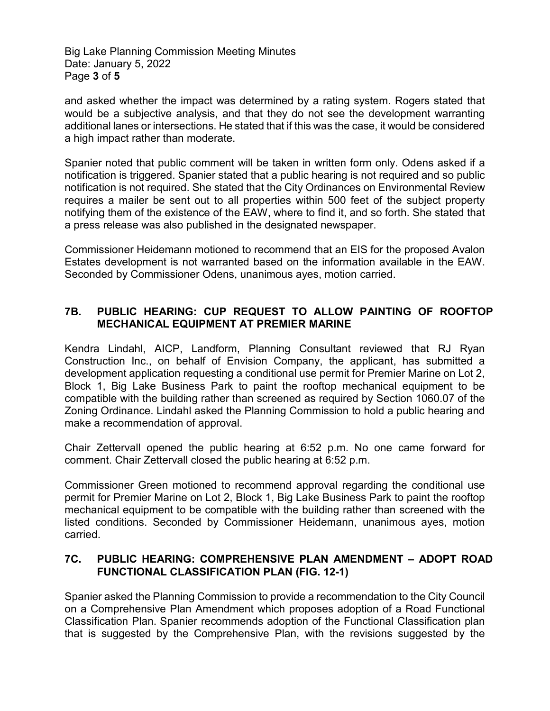Big Lake Planning Commission Meeting Minutes Date: January 5, 2022 Page **3** of **5**

and asked whether the impact was determined by a rating system. Rogers stated that would be a subjective analysis, and that they do not see the development warranting additional lanes or intersections. He stated that if this was the case, it would be considered a high impact rather than moderate.

Spanier noted that public comment will be taken in written form only. Odens asked if a notification is triggered. Spanier stated that a public hearing is not required and so public notification is not required. She stated that the City Ordinances on Environmental Review requires a mailer be sent out to all properties within 500 feet of the subject property notifying them of the existence of the EAW, where to find it, and so forth. She stated that a press release was also published in the designated newspaper.

Commissioner Heidemann motioned to recommend that an EIS for the proposed Avalon Estates development is not warranted based on the information available in the EAW. Seconded by Commissioner Odens, unanimous ayes, motion carried.

## **7B. PUBLIC HEARING: CUP REQUEST TO ALLOW PAINTING OF ROOFTOP MECHANICAL EQUIPMENT AT PREMIER MARINE**

Kendra Lindahl, AICP, Landform, Planning Consultant reviewed that RJ Ryan Construction Inc., on behalf of Envision Company, the applicant, has submitted a development application requesting a conditional use permit for Premier Marine on Lot 2, Block 1, Big Lake Business Park to paint the rooftop mechanical equipment to be compatible with the building rather than screened as required by Section 1060.07 of the Zoning Ordinance. Lindahl asked the Planning Commission to hold a public hearing and make a recommendation of approval.

Chair Zettervall opened the public hearing at 6:52 p.m. No one came forward for comment. Chair Zettervall closed the public hearing at 6:52 p.m.

Commissioner Green motioned to recommend approval regarding the conditional use permit for Premier Marine on Lot 2, Block 1, Big Lake Business Park to paint the rooftop mechanical equipment to be compatible with the building rather than screened with the listed conditions. Seconded by Commissioner Heidemann, unanimous ayes, motion carried.

# **7C. PUBLIC HEARING: COMPREHENSIVE PLAN AMENDMENT – ADOPT ROAD FUNCTIONAL CLASSIFICATION PLAN (FIG. 12-1)**

Spanier asked the Planning Commission to provide a recommendation to the City Council on a Comprehensive Plan Amendment which proposes adoption of a Road Functional Classification Plan. Spanier recommends adoption of the Functional Classification plan that is suggested by the Comprehensive Plan, with the revisions suggested by the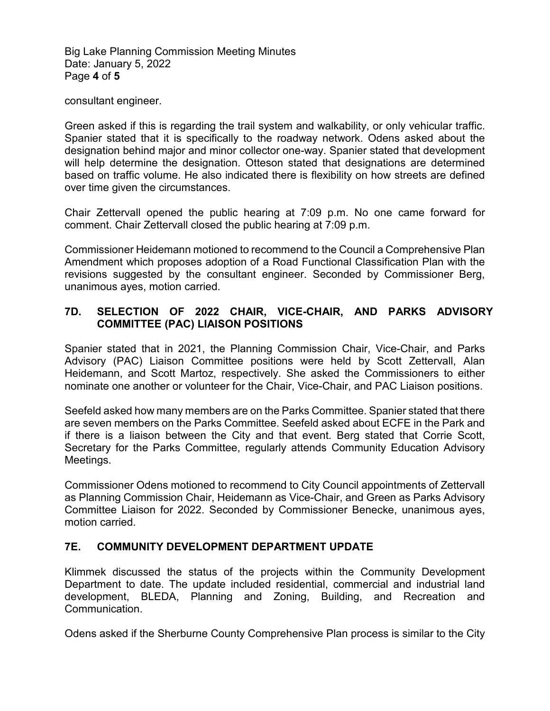Big Lake Planning Commission Meeting Minutes Date: January 5, 2022 Page **4** of **5**

consultant engineer.

Green asked if this is regarding the trail system and walkability, or only vehicular traffic. Spanier stated that it is specifically to the roadway network. Odens asked about the designation behind major and minor collector one-way. Spanier stated that development will help determine the designation. Otteson stated that designations are determined based on traffic volume. He also indicated there is flexibility on how streets are defined over time given the circumstances.

Chair Zettervall opened the public hearing at 7:09 p.m. No one came forward for comment. Chair Zettervall closed the public hearing at 7:09 p.m.

Commissioner Heidemann motioned to recommend to the Council a Comprehensive Plan Amendment which proposes adoption of a Road Functional Classification Plan with the revisions suggested by the consultant engineer. Seconded by Commissioner Berg, unanimous ayes, motion carried.

## **7D. SELECTION OF 2022 CHAIR, VICE-CHAIR, AND PARKS ADVISORY COMMITTEE (PAC) LIAISON POSITIONS**

Spanier stated that in 2021, the Planning Commission Chair, Vice-Chair, and Parks Advisory (PAC) Liaison Committee positions were held by Scott Zettervall, Alan Heidemann, and Scott Martoz, respectively. She asked the Commissioners to either nominate one another or volunteer for the Chair, Vice-Chair, and PAC Liaison positions.

Seefeld asked how many members are on the Parks Committee. Spanier stated that there are seven members on the Parks Committee. Seefeld asked about ECFE in the Park and if there is a liaison between the City and that event. Berg stated that Corrie Scott, Secretary for the Parks Committee, regularly attends Community Education Advisory Meetings.

Commissioner Odens motioned to recommend to City Council appointments of Zettervall as Planning Commission Chair, Heidemann as Vice-Chair, and Green as Parks Advisory Committee Liaison for 2022. Seconded by Commissioner Benecke, unanimous ayes, motion carried.

# **7E. COMMUNITY DEVELOPMENT DEPARTMENT UPDATE**

Klimmek discussed the status of the projects within the Community Development Department to date. The update included residential, commercial and industrial land development, BLEDA, Planning and Zoning, Building, and Recreation and Communication.

Odens asked if the Sherburne County Comprehensive Plan process is similar to the City